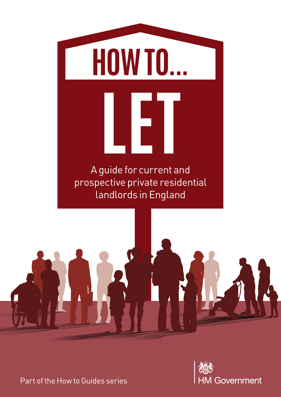





Part of the How to Guides series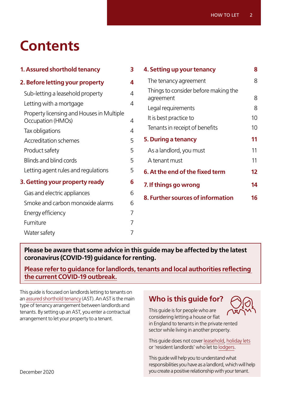# **Contents**

| 1. Assured shorthold tenancy                                   | 3 |
|----------------------------------------------------------------|---|
| 2. Before letting your property                                | 4 |
| Sub-letting a leasehold property                               | 4 |
| Letting with a mortgage                                        | 4 |
| Property licensing and Houses in Multiple<br>Occupation (HMOs) | 4 |
| Tax obligations                                                | 4 |
| <b>Accreditation schemes</b>                                   | 5 |
| Product safety                                                 | 5 |
| Blinds and blind cords                                         | 5 |
| Letting agent rules and regulations                            | 5 |
| 3. Getting your property ready                                 | 6 |
| Gas and electric appliances                                    | 6 |
| Smoke and carbon monoxide alarms                               | 6 |
| Energy efficiency                                              | 7 |
| Furniture                                                      | 7 |
| Water safety                                                   | 7 |

| 4. Setting up your tenancy                        | 8  |
|---------------------------------------------------|----|
| The tenancy agreement                             | 8  |
| Things to consider before making the<br>agreement | 8  |
| Legal requirements                                | 8  |
| It is best practice to                            | 10 |
| Tenants in receipt of benefits                    | 10 |
| 5. During a tenancy                               | 11 |
| As a landlord, you must                           | 11 |
| A tenant must                                     | 11 |
| 6. At the end of the fixed term                   | 12 |
| 7. If things go wrong                             | 14 |
| 8. Further sources of information                 | 16 |
|                                                   |    |

### **Please be aware that some advice in this guide may be affected by the latest coronavirus (COVID-19) guidance for renting.**

**[Please refer to guidance for landlords, tenants and local authorities reflecting](https://www.gov.uk/government/publications/covid-19-and-renting-guidance-for-landlords-tenants-and-local-authorities)  [the current COVID-19 outbreak.](https://www.gov.uk/government/publications/covid-19-and-renting-guidance-for-landlords-tenants-and-local-authorities)**

This guide is focused on landlords letting to tenants on an [assured shorthold tenancy](https://www.gov.uk/private-renting-tenancy-agreements/tenancy-types) (AST). An AST is the main type of tenancy arrangement between landlords and tenants. By setting up an AST, you enter a contractual arrangement to let your property to a tenant.

# **Who is this guide for?**



This guide is for people who are considering letting a house or flat in England to tenants in the private rented sector while living in another property.

This guide does not cover [leasehold,](https://www.gov.uk/government/publications/how-to-lease) [holiday lets](https://www.gov.uk/government/publications/furnished-holiday-lettings-hs253-self-assessment-helpsheet) or 'resident landlords' who let to [lodgers.](https://england.shelter.org.uk/housing_advice/private_renting/lodgers)

This guide will help you to understand what responsibilities you have as a landlord, which will help you create a positive relationship with your tenant.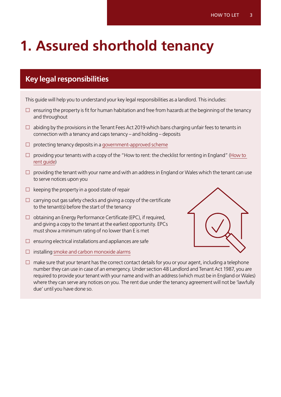# <span id="page-2-0"></span>**1. Assured shorthold tenancy**

# **Key legal responsibilities**

This guide will help you to understand your key legal responsibilities as a landlord. This includes:

- $\Box$  ensuring the property is fit for human habitation and free from hazards at the beginning of the tenancy and throughout
- $\Box$  abiding by the provisions in the Tenant Fees Act 2019 which bans charging unfair fees to tenants in connection with a tenancy and caps tenancy – and holding – deposits
- $\square$  protecting tenancy deposits in a [government-approved scheme](https://www.gov.uk/tenancy-deposit-protection)
- $\Box$  providing your tenants with a copy of the "How to rent: the checklist for renting in England" (How to [rent guide\)](https://www.gov.uk/government/publications/how-to-rent)
- $\Box$  providing the tenant with your name and with an address in England or Wales which the tenant can use to serve notices upon you
- $\square$  keeping the property in a good state of repair
- $\Box$  carrying out gas safety checks and giving a copy of the certificate to the tenant(s) before the start of the tenancy
- $\Box$  obtaining an Energy Performance Certificate (EPC), if required, and giving a copy to the tenant at the earliest opportunity. EPCs must show a minimum rating of no lower than E is met
- $\square$  ensuring electrical installations and appliances are safe
- $\square$  installing [smoke and carbon monoxide alarms](https://www.gov.uk/government/publications/smoke-and-carbon-monoxide-alarms-explanatory-booklet-for-landlords)



 $\Box$  make sure that your tenant has the correct contact details for you or your agent, including a telephone number they can use in case of an emergency. Under section 48 Landlord and Tenant Act 1987, you are required to provide your tenant with your name and with an address (which must be in England or Wales) where they can serve any notices on you. The rent due under the tenancy agreement will not be 'lawfully due' until you have done so.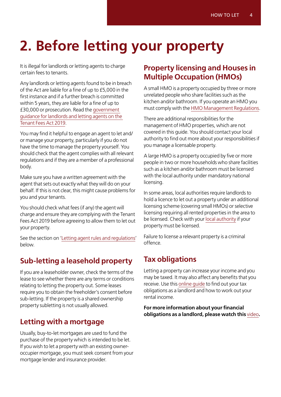# <span id="page-3-0"></span>**2. Before letting your property**

It is illegal for landlords or letting agents to charge certain fees to tenants.

Any landlords or letting agents found to be in breach of the Act are liable for a fine of up to £5,000 in the first instance and if a further breach is committed within 5 years, they are liable for a fine of up to £30,000 or prosecution. Read the [government](https://www.gov.uk/government/publications/tenant-fees-act-2019-guidance)  [guidance for landlords and letting agents on the](https://www.gov.uk/government/publications/tenant-fees-act-2019-guidance)  [Tenant Fees Act 2019](https://www.gov.uk/government/publications/tenant-fees-act-2019-guidance).

You may find it helpful to engage an agent to let and/ or manage your property, particularly if you do not have the time to manage the property yourself. You should check that the agent complies with all relevant regulations and if they are a member of a professional body.

Make sure you have a written agreement with the agent that sets out exactly what they will do on your behalf. If this is not clear, this might cause problems for you and your tenants.

You should check what fees (if any) the agent will charge and ensure they are complying with the Tenant Fees Act 2019 before agreeing to allow them to let out your property.

See the section on 'Letting agent rules and regulations' below.

# **Sub-letting a leasehold property**

If you are a leaseholder owner, check the terms of the lease to see whether there are any terms or conditions relating to letting the property out. Some leases require you to obtain the freeholder's consent before sub-letting. If the property is a shared ownership property subletting is not usually allowed.

## **Letting with a mortgage**

Usually, buy-to-let mortgages are used to fund the purchase of the property which is intended to be let. If you wish to let a property with an existing owneroccupier mortgage, you must seek consent from your mortgage lender and insurance provider.

# **Property licensing and Houses in Multiple Occupation (HMOs)**

A small HMO is a property occupied by three or more unrelated people who share facilities such as the kitchen and/or bathroom. If you operate an HMO you must comply with the [HMO Management Regulations.](https://www.legislation.gov.uk/uksi/2006/372/contents/made)

There are additional responsibilities for the management of HMO properties, which are not covered in this guide. You should contact your local authority to find out more about your responsibilities if you manage a licensable property.

A large HMO is a property occupied by five or more people in two or more households who share facilities such as a kitchen and/or bathroom must be licensed with the local authority under mandatory national licensing.

In some areas, local authorities require landlords to hold a licence to let out a property under an additional licensing scheme (covering small HMOs) or selective licensing requiring all rented properties in the area to be licensed. Check with your [local authority](https://www.gov.uk/find-local-council) if your property must be licensed.

Failure to license a relevant property is a criminal offence.

# **Tax obligations**

Letting a property can increase your income and you may be taxed. It may also affect any benefits that you receive. Use this [online guide](https://www.gov.uk/guidance/income-tax-when-you-rent-out-a-property-working-out-your-rental-income) to find out your tax obligations as a landlord and how to work out your rental income.

**For more information about your financial obligations as a landlord, please watch this** [video](https://www.moneyadviceservice.org.uk/en/articles/financial-responsibilities-if-you-rent-out-a-property)**.**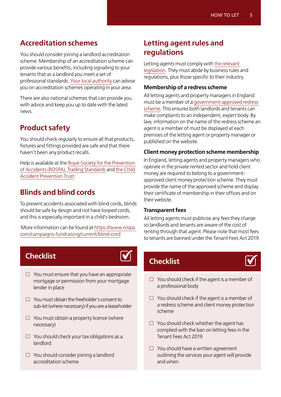## <span id="page-4-0"></span>**Accreditation schemes**

You should consider joining a landlord accreditation scheme. Membership of an accreditation scheme can provide various benefits, including signalling to your tenants that as a landlord you meet a set of professional standards. [Your local authority](https://www.gov.uk/find-local-council) can advise you on accreditation schemes operating in your area.

There are also national schemes that can provide you with advice and keep you up to date with the latest news.

# **Product safety**

You should check regularly to ensure all that products, fixtures and fittings provided are safe and that there haven't been any product recalls.

Help is available at the [Royal Society for the Prevention](https://www.rospa.com/Campaigns-Fundraising/Current)  [of Accidents \(ROSPA\)](https://www.rospa.com/Campaigns-Fundraising/Current), [Trading Standards](https://www.tradingstandards.uk/news-policy/campaigns) and [the Child](https://www.capt.org.uk/Pages/Category/safety-advice-injury-types)  [Accident Prevention Trust](https://www.capt.org.uk/Pages/Category/safety-advice-injury-types).

## **Blinds and blind cords**

To prevent accidents associated with blind cords, blinds should be safe by design and not have looped cords, and this is especially important in a child's bedroom.

 More information can be found at [https://www.rospa.](https://www.rospa.com/campaigns-fundraising/current/blind-cord) [com/campaigns-fundraising/current/blind-cord](https://www.rospa.com/campaigns-fundraising/current/blind-cord)

## **Checklist**



- $\square$  You must ensure that you have an appropriate mortgage or permission from your mortgage lender in place
- $\Box$  You must obtain the freeholder's consent to sub-let (where necessary) if you are a leaseholder
- $\square$  You must obtain a property licence (where necessary)
- $\Box$  You should check your tax obligations as a landlord
- $\Box$  You should consider joining a landlord accreditation scheme

## **Letting agent rules and regulations**

Letting agents must comply with [the relevant](https://www.legislation.gov.uk/uksi/2014/2359/contents/made)  [legislation](https://www.legislation.gov.uk/uksi/2014/2359/contents/made). They must abide by business rules and regulations, plus those specific to their industry.

#### **Membership of a redress scheme**

All letting agents and property managers in England must be a member of a [government-approved redress](https://www.gov.uk/government/publications/lettings-agents-and-property-managers-redress-schemes)  [scheme](https://www.gov.uk/government/publications/lettings-agents-and-property-managers-redress-schemes). This ensures both landlords and tenants can make complaints to an independent, expert body. By law, information on the name of the redress scheme an agent is a member of must be displayed at each premises of the letting agent or property manager or published on the website.

#### **Client money protection scheme membership**

In England, letting agents and property managers who operate in the private rented sector and hold client money are required to belong to a governmentapproved client money protection scheme. They must provide the name of the approved scheme and display their certificate of membership in their offices and on their website.

#### **Transparent fees**

All letting agents must publicise any fees they charge so landlords and tenants are aware of the cost of renting through that agent. Please note that most fees to tenants are banned under the Tenant Fees Act 2019.

# **Checklist**



- $\Box$  You should check if the agent is a member of a professional body
- $\square$  You should check if the agent is a member of a redress scheme and client money protection scheme
- $\Box$  You should check whether the agent has complied with the ban on letting fees in the Tenant Fees Act 2019
- $\square$  You should have a written agreement outlining the services your agent will provide and when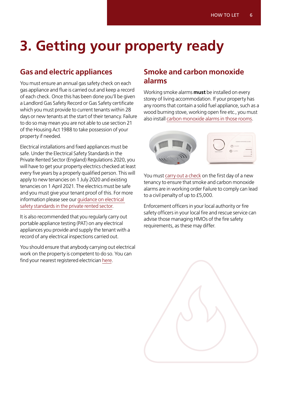# <span id="page-5-0"></span>**3. Getting your property ready**

# **Gas and electric appliances**

You must ensure an annual gas safety check on each gas appliance and flue is carried out and keep a record of each check. Once this has been done you'll be given a Landlord Gas Safety Record or Gas Safety certificate which you must provide to current tenants within 28 days or new tenants at the start of their tenancy. Failure to do so may mean you are not able to use section 21 of the Housing Act 1988 to take possession of your property if needed.

Electrical installations and fixed appliances must be safe. Under the Electrical Safety Standards in the Private Rented Sector (England) Regulations 2020, you will have to get your property electrics checked at least every five years by a properly qualified person. This will apply to new tenancies on 1 July 2020 and existing tenancies on 1 April 2021. The electrics must be safe and you must give your tenant proof of this. For more information please see our [guidance on electrical](https://www.gov.uk/government/publications/electrical-safety-standards-in-the-private-rented-sector-guidance-for-landlords-tenants-and-local-authorities)  [safety standards in the private rented sector.](https://www.gov.uk/government/publications/electrical-safety-standards-in-the-private-rented-sector-guidance-for-landlords-tenants-and-local-authorities)

It is also recommended that you regularly carry out portable appliance testing (PAT) on any electrical appliances you provide and supply the tenant with a record of any electrical inspections carried out.

You should ensure that anybody carrying out electrical work on the property is competent to do so. You can find your nearest registered electrician [here.](https://www.electricalcompetentperson.co.uk/)

## **Smoke and carbon monoxide alarms**

Working smoke alarms **must** be installed on every storey of living accommodation. If your property has any rooms that contain a solid fuel appliance, such as a wood burning stove, working open fire etc., you must also install [carbon monoxide alarms in those rooms.](https://www.nrla.org.uk/resources/looking-after-your-property/smoke-and-carbon-monoxide-requirements)



You must [carry out a check](https://www.gov.uk/government/publications/hhsrs-operating-guidance-housing-act-2004-guidance-about-inspections-and-assessment-of-hazards-given-under-section-9) on the first day of a new tenancy to ensure that smoke and carbon monoxide alarms are in working order Failure to comply can lead to a civil penalty of up to £5,000.

Enforcement officers in your local authority or fire safety officers in your local fire and rescue service can advise those managing HMOs of the fire safety requirements, as these may differ.

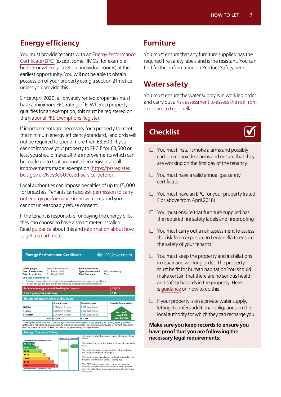# <span id="page-6-0"></span>**Energy efficiency**

You must provide tenants with an [Energy Performance](https://www.gov.uk/buy-sell-your-home/energy-performance-certificates)  [Certificate \(EPC\)](https://www.gov.uk/buy-sell-your-home/energy-performance-certificates) (except some HMOs, for example bedsits or where you let out individual rooms) at the earliest opportunity. You will not be able to obtain possession of your property using a section 21 notice unless you provide this.

Since April 2020, all privately rented properties must have a minimum EPC rating of E. Where a property qualifies for an exemption, this must be registered on the [National PRS Exemptions Register.](https://www.gov.uk/guidance/domestic-private-rented-property-minimum-energy-efficiency-standard-landlord-guidance)

If improvements are necessary for a property to meet the minimum energy efficiency standard, landlords will not be required to spend more than £3,500. If you cannot improve your property to EPC E for £3,500 or less, you should make all the improvements which can be made up to that amount, then register an 'all improvements made' exemption ([https://prsregister.](https://prsregister.beis.gov.uk/NdsBeisUi/used-service-before) [beis.gov.uk/NdsBeisUi/used-service-before\)](https://prsregister.beis.gov.uk/NdsBeisUi/used-service-before).

Local authorities can impose penalties of up to £5,000 for breaches. Tenants can also [ask permission to carry](https://www.nrla.org.uk/resources/energy-efficiency/minimum-energy-efficiency-standards)  [out energy performance improvements](https://www.nrla.org.uk/resources/energy-efficiency/minimum-energy-efficiency-standards) and you cannot unreasonably refuse consent.

If the tenant is responsible for paying the energy bills, they can choose to have a smart meter installed. Read [guidance](https://www.ofgem.gov.uk/consumers/household-gas-and-electricity-guide/consumer-guide-understanding-energy-meters-ofgem/smart-meters-guide-your-rights) about this and [information about how](https://www.smartenergygb.org/en/get-a-smart-meter/how-to-get-a-smart-meter)  [to get a smart meter](https://www.smartenergygb.org/en/get-a-smart-meter/how-to-get-a-smart-meter).

| Semi-detached house<br><b>Dwelling type:</b><br>Date of assessment:<br>March 2018<br>01<br>Date of certificate:<br>March 2018<br>01<br>Use this document to:<br>Compare current ratings of properties to see which properties are more energy efficient |  |                      | Reference number:<br>Type of assessment:<br>SAP, new dwelling<br><b>Total floor area:</b><br>$72 \text{ m}^2$ |                                 |  |
|---------------------------------------------------------------------------------------------------------------------------------------------------------------------------------------------------------------------------------------------------------|--|----------------------|---------------------------------------------------------------------------------------------------------------|---------------------------------|--|
|                                                                                                                                                                                                                                                         |  |                      | Find out how you can save energy and money by installing improvement measures                                 | £1,329                          |  |
| <b>Estimated energy costs of dwelling for 3 years:</b><br>Over 3 years you could save                                                                                                                                                                   |  |                      |                                                                                                               |                                 |  |
|                                                                                                                                                                                                                                                         |  |                      |                                                                                                               | £90                             |  |
| <b>Estimated energy costs of this home</b>                                                                                                                                                                                                              |  | <b>Current costs</b> | <b>Potential costs</b>                                                                                        |                                 |  |
|                                                                                                                                                                                                                                                         |  | £153 over 3 years    | £153 over 3 years                                                                                             | <b>Potential future savings</b> |  |
|                                                                                                                                                                                                                                                         |  | £933 over 3 years    | £933 over 3 years                                                                                             |                                 |  |
| Lighting<br>Heating<br><b>Hot Water</b>                                                                                                                                                                                                                 |  | £ 243 over 3 years   | £153 over 3 years                                                                                             | <b>You could</b><br>save £90    |  |

|                                                                       |    | <b>Current   Potential</b> |
|-----------------------------------------------------------------------|----|----------------------------|
| Very energy efficient - lower running costs<br>(92 plus) $\mathsf{A}$ |    |                            |
| R<br>$(81-91)$                                                        |    |                            |
| $(69 - 80)$                                                           | 77 |                            |
| $(55-68)$<br>D.                                                       |    |                            |
| 鳫<br>$(39 - 54)$                                                      |    |                            |
| $(21-38)$                                                             |    |                            |
| G<br>$(1 - 20)$                                                       |    |                            |
| Not energy efficient - higher running costs                           |    |                            |

**Energy Efficiency Rating** 

| The graph shows the current energy efficiency of your<br>home.                                     |
|----------------------------------------------------------------------------------------------------|
| The higher the rating the lower your fuel bills are likely<br>to be.                               |
| The potential rating shows the effect of undertaking<br>the recommendations on page 3.             |
| The average energy efficiency rating for a dwelling in<br>England and Wales is band D (rating 60). |
| The EPC rating shown here is based on standard                                                     |

The EPC rating shown here is based on standard<br>assumptions about occupancy and energy use and<br>may not reflect how energy is consumed by individual

### **Furniture**

You must ensure that any furniture supplied has the required fire safety labels and is fire resistant. You can find further information on Product Safety [here.](https://www.gov.uk/government/organisations/office-for-product-safety-and-standards)

## **Water safety**

You must ensure the water supply is in working order and carry out a [risk assessment to assess the risk from](https://www.hse.gov.uk/legionnaires/legionella-landlords-responsibilities.htm)  [exposure to Legionella.](https://www.hse.gov.uk/legionnaires/legionella-landlords-responsibilities.htm)

# **Checklist**



- $\Box$  You must install smoke alarms and possibly carbon monoxide alarms and ensure that they are working on the first day of the tenancy
- $\Box$  You must have a valid annual gas safety certificate
- $\Box$  You must have an EPC for your property (rated E or above from April 2018)
- $\square$  You must ensure that furniture supplied has the required fire safety labels and fireproofing
- $\Box$  You must carry out a risk assessment to assess the risk from exposure to Legionella to ensure the safety of your tenants
- $\square$  You must keep the property and installations in repair and working order. The property must be fit for human habitation You should make certain that there are no serious health and safety hazards in the property. Here is [guidance](https://www.gov.uk/government/collections/housing-health-and-safety-rating-system-hhsrs-guidance) on how to do this
- $\Box$  If your property is on a private water supply, letting it confers additional obligations on the local authority for which they can recharge you

**Make sure you keep records to ensure you have proof that you are following the necessary legal requirements.**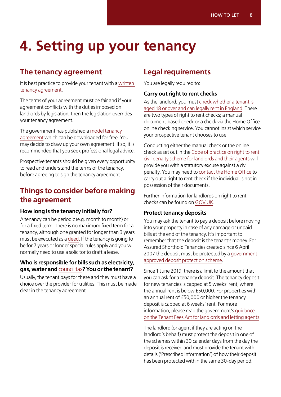# <span id="page-7-0"></span>**4. Setting up your tenancy**

## **The tenancy agreement**

It is best practice to provide your tenant with a [written](https://www.gov.uk/tenancy-agreements-a-guide-for-landlords/tenancy-types)  [tenancy agreement](https://www.gov.uk/tenancy-agreements-a-guide-for-landlords/tenancy-types).

The terms of your agreement must be fair and if your agreement conflicts with the duties imposed on landlords by legislation, then the legislation overrides your tenancy agreement.

The government has published a [model tenancy](https://www.gov.uk/government/publications/model-agreement-for-a-shorthold-assured-tenancy)  [agreement](https://www.gov.uk/government/publications/model-agreement-for-a-shorthold-assured-tenancy) which can be downloaded for free. You may decide to draw up your own agreement. If so, it is recommended that you seek professional legal advice.

Prospective tenants should be given every opportunity to read and understand the terms of the tenancy, before agreeing to sign the tenancy agreement.

## **Things to consider before making the agreement**

#### **How long is the tenancy initially for?**

A tenancy can be periodic (e.g. month to month) or for a fixed term. There is no maximum fixed term for a tenancy, although one granted for longer than 3 years must be executed as a [deed.](https://www.gov.uk/government/publications/execution-of-deeds/practice-guide-8-execution-of-deeds) If the tenancy is going to be for 7 years or longer special rules apply and you will normally need to use a solicitor to draft a lease.

#### **Who is responsible for bills such as electricity, gas, water and** [council tax](https://www.gov.uk/council-tax)**? You or the tenant?**

Usually, the tenant pays for these and they must have a choice over the provider for utilities. This must be made clear in the tenancy agreement.

## **Legal requirements**

You are legally required to:

#### **Carry out right to rent checks**

As the landlord, you must [check whether a tenant is](https://www.gov.uk/check-tenant-right-to-rent-documents)  [aged 18 or over and can legally rent in England](https://www.gov.uk/check-tenant-right-to-rent-documents). There are two types of right to rent checks; a manual document-based check or a check via the Home Office online checking service. You cannot insist which service your prospective tenant chooses to use.

Conducting either the manual check or the online check as set out in the [Code of practice on right to rent:](https://www.gov.uk/government/publications/right-to-rent-landlords-code-of-practice)  [civil penalty scheme for landlords and their agents](https://www.gov.uk/government/publications/right-to-rent-landlords-code-of-practice) will provide you with a statutory excuse against a civil penalty. You may need to [contact the Home Office](https://www.gov.uk/government/publications/landlords-guide-to-right-to-rent-checks) to carry out a right to rent check if the individual is not in possession of their documents.

Further information for landlords on right to rent checks can be found on [GOV.UK.](https://www.gov.uk/government/collections/landlords-immigration-right-to-rent-checks)

#### **Protect tenancy deposits**

You may ask the tenant to pay a deposit before moving into your property in case of any damage or unpaid bills at the end of the tenancy. It's important to remember that the deposit is the tenant's money. For Assured Shorthold Tenancies created since 6 April 2007 the deposit must be protected by a [government](https://www.gov.uk/tenancy-deposit-protection)  [approved deposit protection scheme](https://www.gov.uk/tenancy-deposit-protection).

Since 1 June 2019, there is a limit to the amount that you can ask for a tenancy deposit. The tenancy deposit for new tenancies is capped at 5 weeks' rent, where the annual rent is below £50,000. For properties with an annual rent of £50,000 or higher the tenancy deposit is capped at 6 weeks' rent. For more information, please read the government's [guidance](https://www.gov.uk/government/publications/tenant-fees-act-2019-guidance)  [on the Tenant Fees Act for landlords and letting agents](https://www.gov.uk/government/publications/tenant-fees-act-2019-guidance).

The landlord (or agent if they are acting on the landlord's behalf) must protect the deposit in one of the schemes within 30 calendar days from the day the deposit is received and must provide the tenant with details ('Prescribed Information') of how their deposit has been protected within the same 30-day period.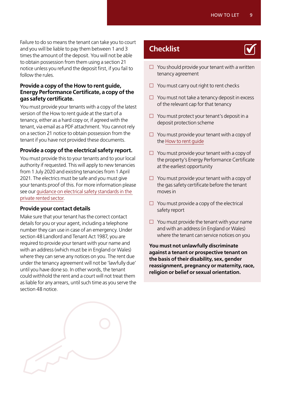Failure to do so means the tenant can take you to court and you will be liable to pay them between 1 and 3 times the amount of the deposit. You will not be able to obtain possession from them using a section 21 notice unless you refund the deposit first, if you fail to follow the rules.

#### **Provide a copy of the How to rent guide, Energy Performance Certificate, a copy of the gas safety certificate.**

You must provide your tenants with a copy of the latest version of the How to rent guide at the start of a tenancy, either as a hard copy or, if agreed with the tenant, via email as a PDF attachment. You cannot rely on a section 21 notice to obtain possession from the tenant if you have not provided these documents.

#### **Provide a copy of the electrical safety report.**

You must provide this to your tenants and to your local authority if requested. This will apply to new tenancies from 1 July 2020 and existing tenancies from 1 April 2021. The electrics must be safe and you must give your tenants proof of this. For more information please see our [guidance on electrical safety standards in the](https://www.gov.uk/government/publications/electrical-safety-standards-in-the-private-rented-sector-guidance-for-landlords-tenants-and-local-authorities)  [private rented sector.](https://www.gov.uk/government/publications/electrical-safety-standards-in-the-private-rented-sector-guidance-for-landlords-tenants-and-local-authorities)

#### **Provide your contact details**

Make sure that your tenant has the correct contact details for you or your agent, including a telephone number they can use in case of an emergency. Under section 48 Landlord and Tenant Act 1987, you are required to provide your tenant with your name and with an address (which must be in England or Wales) where they can serve any notices on you. The rent due under the tenancy agreement will not be 'lawfully due' until you have done so. In other words, the tenant could withhold the rent and a court will not treat them as liable for any arrears, until such time as you serve the section 48 notice.

## **Checklist**

- $\square$  You should provide your tenant with a written tenancy agreement
- $\Box$  You must carry out right to rent checks
- $\Box$  You must not take a tenancy deposit in excess of the relevant cap for that tenancy
- $\Box$  You must protect your tenant's deposit in a deposit protection scheme
- $\Box$  You must provide your tenant with a copy of the [How to rent guide](https://www.gov.uk/government/publications/how-to-rent)
- $\Box$  You must provide your tenant with a copy of the property's Energy Performance Certificate at the earliest opportunity
- $\Box$  You must provide your tenant with a copy of the gas safety certificate before the tenant moves in
- $\Box$  You must provide a copy of the electrical safety report
- $\square$  You must provide the tenant with your name and with an address (in England or Wales) where the tenant can service notices on you

**You must not unlawfully discriminate against a tenant or prospective tenant on the basis of their disability, sex, gender reassignment, pregnancy or maternity, race, religion or belief or sexual orientation.**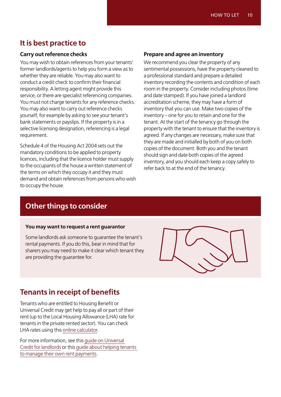# <span id="page-9-0"></span>**It is best practice to**

#### **Carry out reference checks**

You may wish to obtain references from your tenants' former landlords/agents to help you form a view as to whether they are reliable. You may also want to conduct a credit check to confirm their financial responsibility. A letting agent might provide this service, or there are specialist referencing companies. You must not charge tenants for any reference checks. You may also want to carry out reference checks yourself, for example by asking to see your tenant's bank statements or payslips. If the property is in a selective licensing designation, referencing is a legal requirement.

Schedule 4 of the Housing Act 2004 sets out the mandatory conditions to be applied to property licences, including that the licence holder must supply to the occupants of the house a written statement of the terms on which they occupy it and they must demand and obtain references from persons who wish to occupy the house.

#### **Prepare and agree an inventory**

We recommend you clear the property of any sentimental possessions, have the property cleaned to a professional standard and prepare a detailed inventory recording the contents and condition of each room in the property. Consider including photos (time and date stamped). If you have joined a landlord accreditation scheme, they may have a form of inventory that you can use. Make two copies of the inventory – one for you to retain and one for the tenant. At the start of the tenancy go through the property with the tenant to ensure that the inventory is agreed. If any changes are necessary, make sure that they are made and initialled by both of you on both copies of the document. Both you and the tenant should sign and date both copies of the agreed inventory, and you should each keep a copy safely to refer back to at the end of the tenancy.

# **Other things to consider**

#### **You may want to request a rent guarantor**

Some landlords ask someone to guarantee the tenant's rental payments. If you do this, bear in mind that for sharers you may need to make it clear which tenant they are providing the guarantee for.



# **Tenants in receipt of benefits**

Tenants who are entitled to Housing Benefit or Universal Credit may get help to pay all or part of their rent (up to the Local Housing Allowance (LHA) rate for tenants in the private rented sector). You can check LHA rates using this [online calculator](https://www.gov.uk/government/publications/understanding-local-housing-allowances-rates-broad-rental-market-areas).

For more information, see this [guide on Universal](https://www.gov.uk/government/publications/universal-credit-and-rented-housing--2/universal-credit-and-rented-housing-guide-for-landlords)  [Credit for landlords](https://www.gov.uk/government/publications/universal-credit-and-rented-housing--2/universal-credit-and-rented-housing-guide-for-landlords) or this [guide about helping tenants](https://www.moneyadviceservice.org.uk/en/categories/resources-for-professionals-welfare-reform-information-for-landlords)  [to manage their own rent payments](https://www.moneyadviceservice.org.uk/en/categories/resources-for-professionals-welfare-reform-information-for-landlords).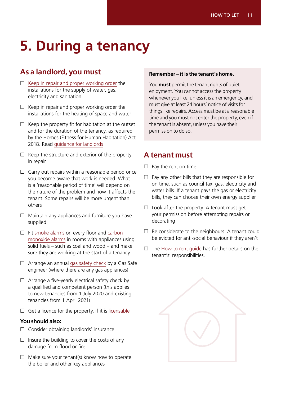# <span id="page-10-0"></span>**5. During a tenancy**

# **As a landlord, you must**

- $\square$  [Keep in repair and proper working order](https://www.gov.uk/government/publications/review-of-property-conditions-in-the-private-rented-sector) the installations for the supply of water, gas, electricity and sanitation
- $\Box$  Keep in repair and proper working order the installations for the heating of space and water
- $\Box$  Keep the property fit for habitation at the outset and for the duration of the tenancy, as required by the Homes (Fitness for Human Habitation) Act 2018. Read [guidance for landlords](https://www.gov.uk/government/publications/homes-fitness-for-human-habitation-act-2018/guide-for-landlords-homes-fitness-for-human-habitation-act-2018)
- $\Box$  Keep the structure and exterior of the property in repair
- $\square$  Carry out repairs within a reasonable period once you become aware that work is needed. What is a 'reasonable period of time' will depend on the nature of the problem and how it affects the tenant. Some repairs will be more urgent than others
- $\Box$  Maintain any appliances and furniture you have supplied
- $\Box$  Fit [smoke alarms](https://www.gov.uk/government/publications/hhsrs-operating-guidance-housing-act-2004-guidance-about-inspections-and-assessment-of-hazards-given-under-section-9) on every floor and carbon [monoxide alarms](https://www.nrla.org.uk/resources/looking-after-your-property/smoke-and-carbon-monoxide-requirements) in rooms with appliances using solid fuels – such as coal and wood – and make sure they are working at the start of a tenancy
- $\Box$  Arrange an annual [gas safety check](https://www.hse.gov.uk/gas/landlords/safetycheckswho.htm) by a Gas Safe engineer (where there are any gas appliances)
- $\square$  Arrange a five-yearly electrical safety check by a qualified and competent person (this applies to new tenancies from 1 July 2020 and existing tenancies from 1 April 2021)
- $\square$  Get a licence for the property, if it is [licensable](https://www.gov.uk/government/publications/selective-licensing-in-the-private-rented-sector-a-guide-for-local-authorities)

#### **You should also:**

- $\square$  Consider obtaining landlords' insurance
- $\square$  Insure the building to cover the costs of any damage from flood or fire
- $\Box$  Make sure your tenant(s) know how to operate the boiler and other key appliances

#### **Remember – it is the tenant's home.**

You **must** permit the tenant rights of quiet enjoyment. You cannot access the property whenever you like, unless it is an emergency, and must give at least 24 hours' notice of visits for things like repairs. Access must be at a reasonable time and you must not enter the property, even if the tenant is absent, unless you have their permission to do so.

### **A tenant must**

- $\Box$  Pay the rent on time
- $\Box$  Pay any other bills that they are responsible for on time, such as council tax, gas, electricity and water bills. If a tenant pays the gas or electricity bills, they can choose their own energy supplier
- $\Box$  Look after the property. A tenant must get your permission before attempting repairs or decorating
- $\Box$  Be considerate to the neighbours. A tenant could be evicted for anti-social behaviour if they aren't
- $\Box$  The [How to rent guide](https://www.gov.uk/government/publications/how-to-rent) has further details on the tenant's' responsibilities.

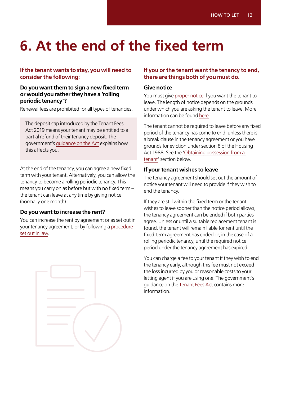# <span id="page-11-0"></span>**6. At the end of the fixed term**

#### **If the tenant wants to stay, you will need to consider the following:**

#### **Do you want them to sign a new fixed term or would you rather they have a 'rolling periodic tenancy'?**

Renewal fees are prohibited for all types of tenancies.

The deposit cap introduced by the Tenant Fees Act 2019 means your tenant may be entitled to a partial refund of their tenancy deposit. The government's [guidance on the Act](https://www.gov.uk/government/publications/tenant-fees-act-2019-guidance) explains how this affects you.

At the end of the tenancy, you can agree a new fixed term with your tenant. Alternatively, you can allow the tenancy to become a rolling periodic tenancy. This means you carry on as before but with no fixed term – the tenant can leave at any time by giving notice (normally one month).

#### **Do you want to increase the rent?**

You can increase the rent by agreement or as set out in your tenancy agreement, or by following a [procedure](https://www.gov.uk/private-renting/rent-increases)  [set out in law.](https://www.gov.uk/private-renting/rent-increases)



#### **If you or the tenant want the tenancy to end, there are things both of you must do.**

#### **Give notice**

You must give [proper notice](https://www.gov.uk/evicting-tenants) if you want the tenant to leave. The length of notice depends on the grounds under which you are asking the tenant to leave. More information can be found [here](https://www.gov.uk/evicting-tenants).

The tenant cannot be required to leave before any fixed period of the tenancy has come to end, unless there is a break clause in the tenancy agreement or you have grounds for eviction under section 8 of the Housing Act 1988. See the ['Obtaining possession from a](#page-14-0)  [tenant'](#page-14-0) section below.

#### **If your tenant wishes to leave**

The tenancy agreement should set out the amount of notice your tenant will need to provide if they wish to end the tenancy.

If they are still within the fixed term or the tenant wishes to leave sooner than the notice period allows, the tenancy agreement can be ended if both parties agree. Unless or until a suitable replacement tenant is found, the tenant will remain liable for rent until the fixed-term agreement has ended or, in the case of a rolling periodic tenancy, until the required notice period under the tenancy agreement has expired.

You can charge a fee to your tenant if they wish to end the tenancy early, although this fee must not exceed the loss incurred by you or reasonable costs to your letting agent if you are using one. The government's guidance on the [Tenant Fees Act](https://www.gov.uk/government/publications/tenant-fees-act-2019-guidance) contains more information.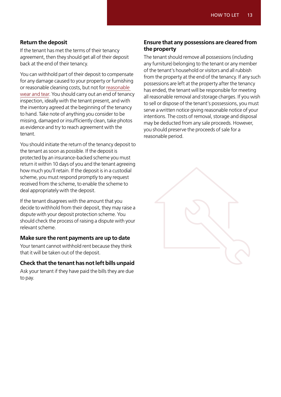#### **Return the deposit**

If the tenant has met the terms of their tenancy agreement, then they should get all of their deposit back at the end of their tenancy.

You can withhold part of their deposit to compensate for any damage caused to your property or furnishing or reasonable cleaning costs, but not for [reasonable](https://www.gov.uk/government/publications/reform-of-the-wear-and-tear-allowance/reform-of-the-wear-and-tear-allowance)  [wear and tear](https://www.gov.uk/government/publications/reform-of-the-wear-and-tear-allowance/reform-of-the-wear-and-tear-allowance). You should carry out an end of tenancy inspection, ideally with the tenant present, and with the inventory agreed at the beginning of the tenancy to hand. Take note of anything you consider to be missing, damaged or insufficiently clean, take photos as evidence and try to reach agreement with the tenant.

You should initiate the return of the tenancy deposit to the tenant as soon as possible. If the deposit is protected by an insurance-backed scheme you must return it within 10 days of you and the tenant agreeing how much you'll retain. If the deposit is in a custodial scheme, you must respond promptly to any request received from the scheme, to enable the scheme to deal appropriately with the deposit.

If the tenant disagrees with the amount that you decide to withhold from their deposit, they may raise a dispute with your deposit protection scheme. You should check the process of raising a dispute with your relevant scheme.

#### **Make sure the rent payments are up to date**

Your tenant cannot withhold rent because they think that it will be taken out of the deposit.

#### **Check that the tenant has not left bills unpaid**

Ask your tenant if they have paid the bills they are due to pay.

#### **Ensure that any possessions are cleared from the property**

The tenant should remove all possessions (including any furniture) belonging to the tenant or any member of the tenant's household or visitors and all rubbish from the property at the end of the tenancy. If any such possessions are left at the property after the tenancy has ended, the tenant will be responsible for meeting all reasonable removal and storage charges. If you wish to sell or dispose of the tenant's possessions, you must serve a written notice giving reasonable notice of your intentions. The costs of removal, storage and disposal may be deducted from any sale proceeds. However, you should preserve the proceeds of sale for a reasonable period.

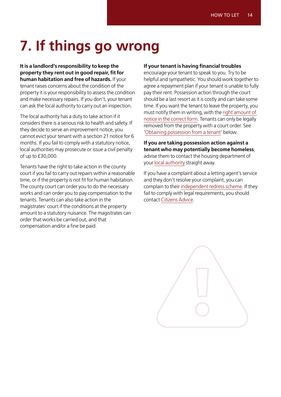# <span id="page-13-0"></span>**7. If things go wrong**

**It is a landlord's responsibility to keep the property they rent out in good repair, fit for human habitation and free of hazards.** If your tenant raises concerns about the condition of the property it is your responsibility to assess the condition and make necessary repairs. If you don't, your tenant can ask the local authority to carry out an inspection.

The local authority has a duty to take action if it considers there is a serious risk to health and safety. If they decide to serve an improvement notice, you cannot evict your tenant with a section 21 notice for 6 months. If you fail to comply with a statutory notice, local authorities may prosecute or issue a civil penalty of up to £30,000.

Tenants have the right to take action in the county court if you fail to carry out repairs within a reasonable time, or if the property is not fit for human habitation. The county court can order you to do the necessary works and can order you to pay compensation to the tenants. Tenants can also take action in the magistrates' court if the conditions at the property amount to a statutory nuisance. The magistrates can order that works be carried out, and that compensation and/or a fine be paid.

#### **If your tenant is having financial troubles**

encourage your tenant to speak to you. Try to be helpful and sympathetic. You should work together to agree a repayment plan if your tenant is unable to fully pay their rent. Possession action through the court should be a last resort as it is costly and can take some time. If you want the tenant to leave the property, you must notify them in writing, with the [right amount of](http://england.shelter.org.uk/housing_advice/eviction/eviction_notices_from_private_landlords)  [notice in the correct form](http://england.shelter.org.uk/housing_advice/eviction/eviction_notices_from_private_landlords). Tenants can only be legally removed from the property with a court order. See '[Obtaining possession from a tenant'](#page-14-0) below.

**If you are taking possession action against a tenant who may potentially become homeless**, advise them to contact the housing department of your [local authority](https://www.gov.uk/find-local-council) straight away.

If you have a complaint about a letting agent's service and they don't resolve your complaint, you can complain to their [independent redress scheme.](https://england.shelter.org.uk/housing_advice/private_renting/letting_agent_redress_schemes) If they fail to comply with legal requirements, you should contact [Citizens Advice.](https://www.citizensadvice.org.uk/)

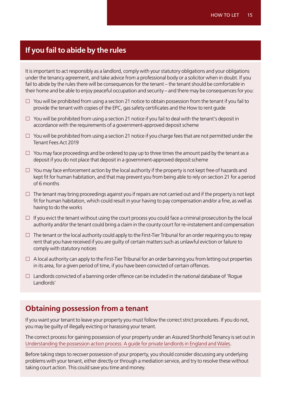# <span id="page-14-0"></span>**If you fail to abide by the rules**

It is important to act responsibly as a landlord, comply with your statutory obligations and your obligations under the tenancy agreement, and take advice from a professional body or a solicitor when in doubt. If you fail to abide by the rules there will be consequences for the tenant – the tenant should be comfortable in their home and be able to enjoy peaceful occupation and security – and there may be consequences for you:

- $\Box$  You will be prohibited from using a section 21 notice to obtain possession from the tenant if you fail to provide the tenant with copies of the EPC, gas safety certificates and the How to rent guide
- $\Box$  You will be prohibited from using a section 21 notice if you fail to deal with the tenant's deposit in accordance with the requirements of a government-approved deposit scheme
- $\Box$  You will be prohibited from using a section 21 notice if you charge fees that are not permitted under the Tenant Fees Act 2019
- $\Box$  You may face proceedings and be ordered to pay up to three times the amount paid by the tenant as a deposit if you do not place that deposit in a government-approved deposit scheme
- $\Box$  You may face enforcement action by the local authority if the property is not kept free of hazards and kept fit for human habitation, and that may prevent you from being able to rely on section 21 for a period of 6 months
- $\Box$  The tenant may bring proceedings against you if repairs are not carried out and if the property is not kept fit for human habitation, which could result in your having to pay compensation and/or a fine, as well as having to do the works
- $\Box$  If you evict the tenant without using the court process you could face a criminal prosecution by the local authority and/or the tenant could bring a claim in the county court for re-instatement and compensation
- $\Box$  The tenant or the local authority could apply to the First-Tier Tribunal for an order requiring you to repay rent that you have received if you are guilty of certain matters such as unlawful eviction or failure to comply with statutory notices
- $\Box$  A local authority can apply to the First-Tier Tribunal for an order banning you from letting out properties in its area, for a given period of time, if you have been convicted of certain offences.
- $\Box$  Landlords convicted of a banning order offence can be included in the national database of 'Rogue Landlords'

### **Obtaining possession from a tenant**

If you want your tenant to leave your property you must follow the correct strict procedures. If you do not, you may be guilty of illegally evicting or harassing your tenant.

The correct process for gaining possession of your property under an Assured Shorthold Tenancy is set out in [Understanding the possession action process: A guide for private landlords in England and Wales.](https://www.gov.uk/government/publications/understanding-the-possession-action-process-guidance-for-landlords-and-tenants/understanding-the-possession-action-process-a-guide-for-private-landlords-in-england-and-wales)

Before taking steps to recover possession of your property, you should consider discussing any underlying problems with your tenant, either directly or through a mediation service, and try to resolve these without taking court action. This could save you time and money.